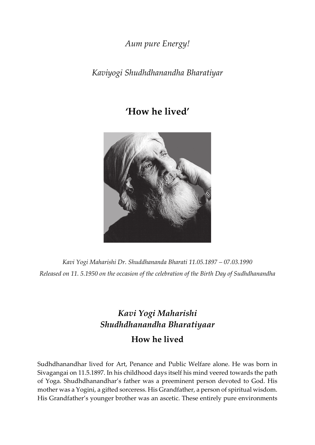*Aum pure Energy!*

*Kaviyogi Shudhdhanandha Bharatiyar*

## **'How he lived'**



*Kavi Yogi Maharishi Dr. Shuddhananda Bharati 11.05.1897 – 07.03.1990 Released on 11. 5.1950 on the occasion of the celebration of the Birth Day of Sudhdhanandha*

## *Kavi Yogi Maharishi Shudhdhanandha Bharatiyaar* **How he lived**

Sudhdhanandhar lived for Art, Penance and Public Welfare alone. He was born in Sivagangai on 11.5.1897. In his childhood days itself his mind veered towards the path of Yoga. Shudhdhanandhar's father was a preeminent person devoted to God. His mother was a Yogini, a gifted sorceress. His Grandfather, a person of spiritual wisdom. His Grandfather's younger brother was an ascetic. These entirely pure environments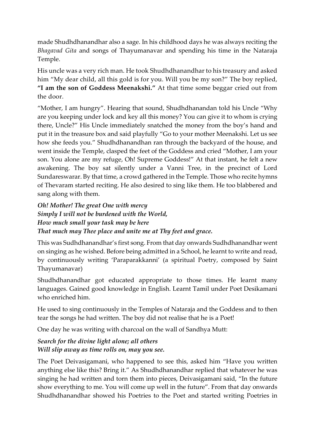made Shudhdhanandhar also a sage. In his childhood days he was always reciting the *Bhagavad Gita* and songs of Thayumanavar and spending his time in the Nataraja Temple.

His uncle was a very rich man. He took Shudhdhanandhar to his treasury and asked him "My dear child, all this gold is for you. Will you be my son?" The boy replied, **"I am the son of Goddess Meenakshi."** At that time some beggar cried out from the door.

"Mother, I am hungry". Hearing that sound, Shudhdhanandan told his Uncle "Why are you keeping under lock and key all this money? You can give it to whom is crying there, Uncle?" His Uncle immediately snatched the money from the boy's hand and put it in the treasure box and said playfully "Go to your mother Meenakshi. Let us see how she feeds you." Shudhdhanandhan ran through the backyard of the house, and went inside the Temple, clasped the feet of the Goddess and cried "Mother, I am your son. You alone are my refuge, Oh! Supreme Goddess!" At that instant, he felt a new awakening. The boy sat silently under a Vanni Tree, in the precinct of Lord Sundareswarar. By that time, a crowd gathered in the Temple. Those who recite hymns of Thevaram started reciting. He also desired to sing like them. He too blabbered and sang along with them.

*Oh! Mother! The great One with mercy Simply I will not be burdened with the World, How much small your task may be here That much may Thee place and unite me at Thy feet and grace.*

This was Sudhdhanandhar's first song. From that day onwards Sudhdhanandhar went on singing as he wished. Before being admitted in a School, he learnt to write and read, by continuously writing 'Paraparakkanni' (a spiritual Poetry, composed by Saint Thayumanavar)

Shudhdhanandhar got educated appropriate to those times. He learnt many languages. Gained good knowledge in English. Learnt Tamil under Poet Desikamani who enriched him.

He used to sing continuously in the Temples of Nataraja and the Goddess and to then tear the songs he had written. The boy did not realise that he is a Poet!

One day he was writing with charcoal on the wall of Sandhya Mutt:

## *Search for the divine light alone; all others Will slip away as time rolls on, may you see.*

The Poet Deivasigamani, who happened to see this, asked him "Have you written anything else like this? Bring it." As Shudhdhanandhar replied that whatever he was singing he had written and torn them into pieces, Deivasigamani said, "In the future show everything to me. You will come up well in the future". From that day onwards Shudhdhanandhar showed his Poetries to the Poet and started writing Poetries in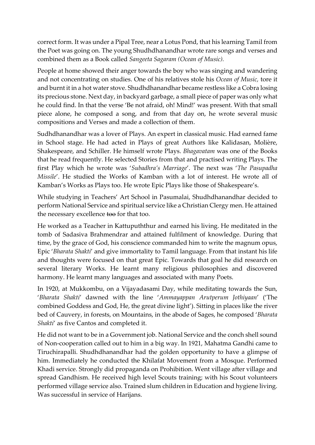correct form. It was under a Pipal Tree, near a Lotus Pond, that his learning Tamil from the Poet was going on. The young Shudhdhanandhar wrote rare songs and verses and combined them as a Book called *Sangeeta Sagaram (Ocean of Music).*

People at home showed their anger towards the boy who was singing and wandering and not concentrating on studies. One of his relatives stole his *Ocean of Music,* tore it and burnt it in a hot water stove. Shudhdhanandhar became restless like a Cobra losing its precious stone. Next day, in backyard garbage, a small piece of paper was only what he could find. In that the verse 'Be not afraid, oh! Mind!' was present. With that small piece alone, he composed a song, and from that day on, he wrote several music compositions and Verses and made a collection of them.

Sudhdhanandhar was a lover of Plays. An expert in classical music. Had earned fame in School stage. He had acted in Plays of great Authors like Kalidasan, Molière, Shakespeare, and Schiller. He himself wrote Plays. *Bhagavatam* was one of the Books that he read frequently. He selected Stories from that and practised writing Plays. The first Play which he wrote was '*Subadhra's Marriage*'. The next was '*The Pasupadha Missile*'. He studied the Works of Kamban with a lot of interest. He wrote all of Kamban's Works as Plays too. He wrote Epic Plays like those of Shakespeare's.

While studying in Teachers' Art School in Pasumalai, Shudhdhanandhar decided to perform National Service and spiritual service like a Christian Clergy men. He attained the necessary excellence too for that too.

He worked as a Teacher in Kattupuththur and earned his living. He meditated in the tomb of Sadasiva Brahmendrar and attained fulfilment of knowledge. During that time, by the grace of God, his conscience commanded him to write the magnum opus, Epic '*Bharata Shakti*' and give immortality to Tamil language. From that instant his life and thoughts were focused on that great Epic. Towards that goal he did research on several literary Works. He learnt many religious philosophies and discovered harmony. He learnt many languages and associated with many Poets.

In 1920, at Mukkombu, on a Vijayadasami Day, while meditating towards the Sun, '*Bharata Shakti*' dawned with the line '*Ammayappan Arutperum Jothiyaan*' ('The combined Goddess and God, He, the great divine light'). Sitting in places like the river bed of Cauvery, in forests, on Mountains, in the abode of Sages, he composed '*Bharata Shakti*' as five Cantos and completed it.

He did not want to be in a Government job. National Service and the conch shell sound of Non‐cooperation called out to him in a big way. In 1921, Mahatma Gandhi came to Tiruchirapalli. Shudhdhanandhar had the golden opportunity to have a glimpse of him. Immediately he conducted the Khilafat Movement from a Mosque. Performed Khadi service. Strongly did propaganda on Prohibition. Went village after village and spread Gandhism. He received high level Scouts training; with his Scout volunteers performed village service also. Trained slum children in Education and hygiene living. Was successful in service of Harijans.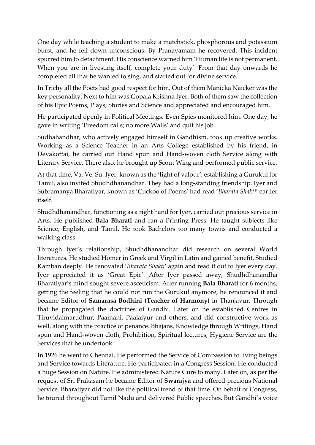One day while teaching a student to make a matchstick, phosphorous and potassium burst, and he fell down unconscious. By Pranayamam he recovered. This incident spurred him to detachment. His conscience warned him 'Human life is not permanent. When you are in livesting itself, complete your duty'. From that day onwards he completed all that he wanted to sing, and started out for divine service.

In Trichy all the Poets had good respect for him. Out of them Manicka Naicker was the key personality. Next to him was Gopala Krishna Iyer. Both of them saw the collection of his Epic Poems, Plays, Stories and Science and appreciated and encouraged him.

He participated openly in Political Meetings. Even Spies monitored him. One day, he gave in writing 'Freedom calls; no more Walls' and quit his job.

Sudhahandhar, who actively engaged himself in Gandhism, took up creative works. Working as a Science Teacher in an Arts College established by his friend, in Devakottai, he carried out Hand spun and Hand‐woven cloth Service along with Literary Service. There also, he brought up Scout Wing and performed public service.

At that time, Va. Ve. Su. Iyer, known as the 'light of valour', establishing a Gurukul for Tamil, also invited Shudhdhanandhar. They had a long‐standing friendship. Iyer and Subramanya Bharatiyar, known as 'Cuckoo of Poems' had read '*Bharata Shakti*' earlier itself.

Shudhdhanandhar, functioning as a right hand for Iyer, carried out precious service in Arts. He published **Bala Bharati** and ran a Printing Press. He taught subjects like Science, English, and Tamil. He took Bachelors too many towns and conducted a walking class.

Through Iyer's relationship, Shudhdhanandhar did research on several World literatures. He studied Homer in Greek and Virgil in Latin and gained benefit. Studied Kamban deeply. He renovated '*Bharata Shakti*' again and read it out to Iyer every day. Iyer appreciated it as 'Great Epic'. After Iyer passed away, Shudhdhanandha Bharatiyar's mind sought severe asceticism. After running **Bala Bharati** for 6 months, getting the feeling that he could not run the Gurukul anymore, he renounced it and became Editor of **Samarasa Bodhini (Teacher of Harmony)** in Thanjavur. Through that he propagated the doctrines of Gandhi. Later on he established Centres in Tiruvidaimarudhur, Paamani, Paalaiyur and others, and did constructive work as well, along with the practice of penance. Bhajans, Knowledge through Writings, Hand spun and Hand‐woven cloth, Prohibition, Spiritual lectures, Hygiene Service are the Services that he undertook.

In 1926 he went to Chennai. He performed the Service of Compassion to living beings and Service towards Literature. He participated in a Congress Session. He conducted a huge Session on Nature. He administered Nature Cure to many. Later on, as per the request of Sri Prakasam he became Editor of **Swarajya** and offered precious National Service. Bharatiyar did not like the political trend of that time. On behalf of Congress, he toured throughout Tamil Nadu and delivered Public speeches. But Gandhi's voice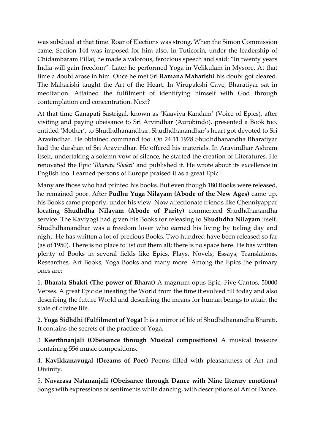was subdued at that time. Roar of Elections was strong. When the Simon Commission came, Section 144 was imposed for him also. In Tuticorin, under the leadership of Chidambaram Pillai, he made a valorous, ferocious speech and said: "In twenty years India will gain freedom". Later he performed Yoga in Velikulam in Mysore. At that time a doubt arose in him. Once he met Sri **Ramana Maharishi** his doubt got cleared. The Maharishi taught the Art of the Heart. In Virupakshi Cave, Bharatiyar sat in meditation. Attained the fulfilment of identifying himself with God through contemplation and concentration. Next?

At that time Ganapati Sastrigal, known as 'Kaaviya Kandam' (Voice of Epics), after visiting and paying obeisance to Sri Arvindhar (Aurobindo), presented a Book too, entitled 'Mother', to Shudhdhanandhar. Shudhdhanandhar's heart got devoted to Sri Aravindhar. He obtained command too. On 24.11.1928 Shudhdhanandha Bharatiyar had the darshan of Sri Aravindhar. He offered his materials. In Aravindhar Ashram itself, undertaking a solemn vow of silence, he started the creation of Literatures. He renovated the Epic '*Bharata Shakti*' and published it. He wrote about its excellence in English too. Learned persons of Europe praised it as a great Epic.

Many are those who had printed his books. But even though 180 Books were released, he remained poor. After **Pudhu Yuga Nilayam (Abode of the New Ages)** came up, his Books came properly, under his view. Now affectionate friends like Chenniyappar locating **Shudhdha Nilayam (Abode of Purity)** commenced Shudhdhanandha service. The Kaviyogi had given his Books for releasing to **Shudhdha Nilayam** itself. Shudhdhanandhar was a freedom lover who earned his living by toiling day and night. He has written a lot of precious Books. Two hundred have been released so far (as of 1950). There is no place to list out them all; there is no space here. He has written plenty of Books in several fields like Epics, Plays, Novels, Essays, Translations, Researches, Art Books, Yoga Books and many more. Among the Epics the primary ones are:

1. **Bharata Shakti (The power of Bharat)** A magnum opus Epic, Five Cantos, 50000 Verses. A great Epic delineating the World from the time it evolved till today and also describing the future World and describing the means for human beings to attain the state of divine life.

2. **Yoga Sidhdhi (Fulfilment of Yoga)** It is a mirror of life of Shudhdhanandha Bharati. It contains the secrets of the practice of Yoga.

3 **Keerthnanjali (Obeisance through Musical compositions)** A musical treasure containing 556 music compositions.

4. **Kavikkanavugal (Dreams of Poet)** Poems filled with pleasantness of Art and Divinity.

5. **Navarasa Natananjali (Obeisance through Dance with Nine literary emotions)** Songs with expressions of sentiments while dancing, with descriptions of Art of Dance.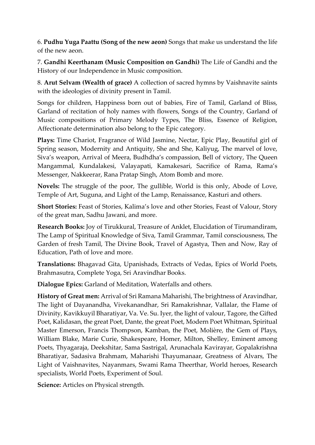6. **Pudhu Yuga Paattu (Song of the new aeon)** Songs that make us understand the life of the new aeon.

7. **Gandhi Keerthanam (Music Composition on Gandhi)** The Life of Gandhi and the History of our Independence in Music composition.

8. **Arut Selvam (Wealth of grace)** A collection of sacred hymns by Vaishnavite saints with the ideologies of divinity present in Tamil.

Songs for children, Happiness born out of babies, Fire of Tamil, Garland of Bliss, Garland of recitation of holy names with flowers, Songs of the Country, Garland of Music compositions of Primary Melody Types, The Bliss, Essence of Religion, Affectionate determination also belong to the Epic category.

**Plays:** Time Chariot, Fragrance of Wild Jasmine, Nectar, Epic Play, Beautiful girl of Spring season, Modernity and Antiquity, She and She, Kaliyug, The marvel of love, Siva's weapon, Arrival of Meera, Budhdha's compassion, Bell of victory, The Queen Mangammal, Kundalakesi, Valayapati, Kamakesari, Sacrifice of Rama, Rama's Messenger, Nakkeerar, Rana Pratap Singh, Atom Bomb and more.

**Novels:** The struggle of the poor, The gullible, World is this only, Abode of Love, Temple of Art, Suguna, and Light of the Lamp, Renaissance, Kasturi and others.

**Short Stories:** Feast of Stories, Kalima's love and other Stories, Feast of Valour, Story of the great man, Sadhu Jawani, and more.

**Research Books:** Joy of Tirukkural, Treasure of Anklet, Elucidation of Tirumandiram, The Lamp of Spiritual Knowledge of Siva, Tamil Grammar, Tamil consciousness, The Garden of fresh Tamil, The Divine Book, Travel of Agastya, Then and Now, Ray of Education, Path of love and more.

**Translations:** Bhagavad Gita, Upanishads, Extracts of Vedas, Epics of World Poets, Brahmasutra, Complete Yoga, Sri Aravindhar Books.

**Dialogue Epics:** Garland of Meditation, Waterfalls and others.

**History of Great men:** Arrival of Sri Ramana Maharishi, The brightness of Aravindhar, The light of Dayanandha, Vivekanandhar, Sri Ramakrishnar, Vallalar, the Flame of Divinity, Kavikkuyil Bharatiyar, Va. Ve. Su. Iyer, the light of valour, Tagore, the Gifted Poet, Kalidasan, the great Poet, Dante, the great Poet, Modern Poet Whitman, Spiritual Master Emerson, Francis Thompson, Kamban, the Poet, Molière, the Gem of Plays, William Blake, Marie Curie, Shakespeare, Homer, Milton, Shelley, Eminent among Poets, Thyagaraja, Deekshitar, Sama Sastrigal, Arunachala Kavirayar, Gopalakrishna Bharatiyar, Sadasiva Brahmam, Maharishi Thayumanaar, Greatness of Alvars, The Light of Vaishnavites, Nayanmars, Swami Rama Theerthar, World heroes, Research specialists, World Poets, Experiment of Soul.

**Science:** Articles on Physical strength.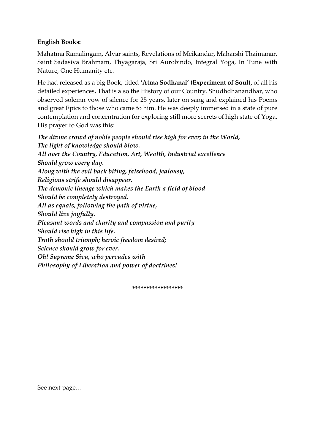## **English Books:**

Mahatma Ramalingam, Alvar saints, Revelations of Meikandar, Maharshi Thaimanar, Saint Sadasiva Brahmam, Thyagaraja, Sri Aurobindo, Integral Yoga, In Tune with Nature, One Humanity etc.

He had released as a big Book, titled **'Atma Sodhanai' (Experiment of Soul),** of all his detailed experiences**.** That is also the History of our Country. Shudhdhanandhar, who observed solemn vow of silence for 25 years, later on sang and explained his Poems and great Epics to those who came to him. He was deeply immersed in a state of pure contemplation and concentration for exploring still more secrets of high state of Yoga. His prayer to God was this:

*The divine crowd of noble people should rise high for ever; in the World, The light of knowledge should blow. All over the Country, Education, Art, Wealth, Industrial excellence Should grow every day. Along with the evil back biting, falsehood, jealousy, Religious strife should disappear. The demonic lineage which makes the Earth a field of blood Should be completely destroyed. All as equals, following the path of virtue, Should live joyfully. Pleasant words and charity and compassion and purity Should rise high in this life. Truth should triumph; heroic freedom desired; Science should grow for ever. Oh! Supreme Siva, who pervades with Philosophy of Liberation and power of doctrines!*

**\*\*\*\*\*\*\*\*\*\*\*\*\*\*\*\*\*\***

See next page…